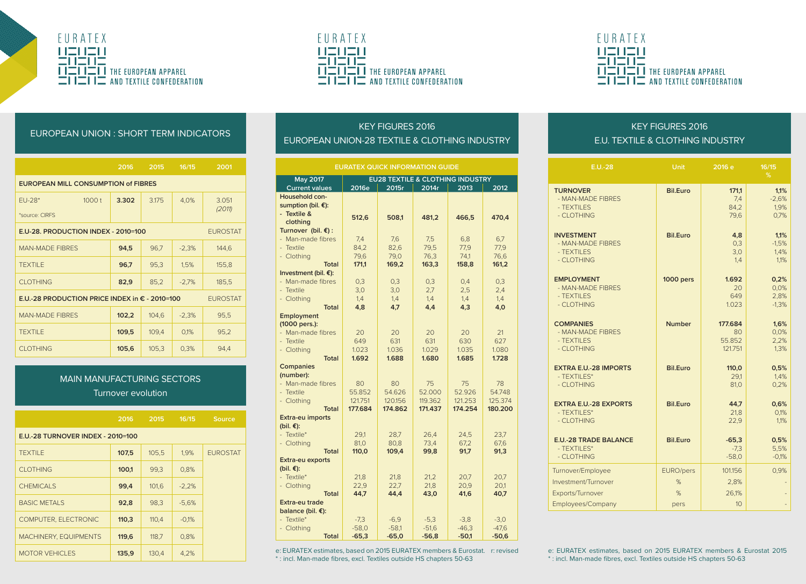





#### EUROPEAN UNION : SHORT TERM INDICATORS

|                                                                            | 2016  | 2015  | 16/15   | 2001            |  |  |
|----------------------------------------------------------------------------|-------|-------|---------|-----------------|--|--|
| <b>EUROPEAN MILL CONSUMPTION of FIBRES</b>                                 |       |       |         |                 |  |  |
| 1000 t<br>$FIJ-28*$                                                        | 3.302 | 3.175 | 4.0%    | 3.051<br>(2011) |  |  |
| *source: CIRES                                                             |       |       |         |                 |  |  |
| E.U-28. PRODUCTION INDEX - 2010=100<br><b>EUROSTAT</b>                     |       |       |         |                 |  |  |
| <b>MAN-MADE FIBRES</b>                                                     | 94,5  | 96,7  | $-2,3%$ | 144,6           |  |  |
| <b>TFXTII F</b>                                                            | 96,7  | 95,3  | 1,5%    | 155,8           |  |  |
| <b>CLOTHING</b>                                                            | 82,9  | 85,2  | $-2,7%$ | 185,5           |  |  |
| E.U.-28 PRODUCTION PRICE INDEX in $\epsilon$ - 2010=100<br><b>EUROSTAT</b> |       |       |         |                 |  |  |
| <b>MAN-MADE FIRRES</b>                                                     | 102,2 | 104.6 | $-2.3%$ | 95.5            |  |  |
| <b>TFXTII F</b>                                                            | 109.5 | 109.4 | 0.1%    | 95.2            |  |  |
| <b>CLOTHING</b>                                                            | 105,6 | 105.3 | 0,3%    | 94.4            |  |  |

# MAIN MANUFACTURING SECTORS Turnover evolution

|                                   | 2016  | 2015  | 16/15   | Source          |  |
|-----------------------------------|-------|-------|---------|-----------------|--|
| E.U.-28 TURNOVER INDEX - 2010=100 |       |       |         |                 |  |
| <b>TFXTII F</b>                   | 107.5 | 105.5 | 1.9%    | <b>EUROSTAT</b> |  |
| CI OTHING                         | 100.1 | 99.3  | 0.8%    |                 |  |
| CHEMICALS                         | 99.4  | 101.6 | $-2.2%$ |                 |  |
| <b>BASIC METALS</b>               | 92.8  | 98.3  | $-5.6%$ |                 |  |
| COMPUTER, ELECTRONIC              | 110.3 | 110.4 | $-0.1%$ |                 |  |
| <b>MACHINERY, EQUIPMENTS</b>      | 119.6 | 118.7 | 0.8%    |                 |  |
| <b>MOTOR VEHICLES</b>             | 135.9 | 130.4 | 4.2%    |                 |  |

# KEY FIGURES 2016 EUROPEAN UNION-28 TEXTILE & CLOTHING INDUSTRY

| <b>EURATEX QUICK INFORMATION GUIDE</b>              |                                             |         |         |         |         |
|-----------------------------------------------------|---------------------------------------------|---------|---------|---------|---------|
| May 2017                                            | <b>EU28 TEXTILE &amp; CLOTHING INDUSTRY</b> |         |         |         |         |
| <b>Current values</b>                               | 2016e                                       | 2015r   | 2014r   | 2013    | 2012    |
| Household con-<br>sumption (bil. €):<br>- Textile & | 512,6                                       | 508,1   | 481,2   | 466,5   | 470.4   |
| clothing                                            |                                             |         |         |         |         |
| Turnover (bil. €) :                                 |                                             |         |         |         |         |
| - Man-made fibres                                   | 7,4                                         | 7,6     | 7,5     | 6,8     | 6,7     |
| - Textile                                           | 84,2                                        | 82,6    | 79,5    | 77,9    | 77,9    |
| - Clothing                                          | 79.6                                        | 79.0    | 76.3    | 74.1    | 76.6    |
| Total                                               | 171.1                                       | 169.2   | 163.3   | 158.8   | 161.2   |
| Investment (bil. €):                                |                                             |         |         |         |         |
| - Man-made fibres                                   | 0.3                                         | 0.3     | 0.3     | 0.4     | 0.3     |
| - Textile                                           | 3,0                                         | 3.0     | 2.7     | 2,5     | 2,4     |
| - Clothing                                          | 1.4                                         | 1,4     | 1,4     | 1,4     | 1,4     |
| Total                                               | 4,8                                         | 4.7     | 4.4     | 4.3     | 4.0     |
| Employment<br>(1000 pers.):                         |                                             |         |         |         |         |
| - Man-made fibres                                   | 20                                          | 20      | 20      | 20      | 21      |
| - Textile                                           | 649                                         | 631     | 631     | 630     | 627     |
| - Clothing                                          | 1.023                                       | 1.036   | 1.029   | 1.035   | 1.080   |
| <b>Total</b>                                        | 1.692                                       | 1.688   | 1.680   | 1.685   | 1.728   |
| Companies<br>(number):                              |                                             |         |         |         |         |
| - Man-made fibres                                   | 80                                          | 80      | 75      | 75      | 78      |
| - Textile                                           | 55.852                                      | 54.626  | 52.000  | 52.926  | 54.748  |
| - Clothing                                          | 121.751                                     | 120.156 | 119.362 | 121.253 | 125.374 |
| Total                                               | 177,684                                     | 174.862 | 171.437 | 174.254 | 180.200 |
| Extra-eu imports<br>(bil. €):                       |                                             |         |         |         |         |
| - Textile*                                          | 29,1                                        | 28,7    | 26,4    | 24,5    | 23,7    |
| - Clothing                                          | 81.0                                        | 80,8    | 73.4    | 67.2    | 67.6    |
| Total                                               | 110,0                                       | 109,4   | 99,8    | 91,7    | 91,3    |
| Extra-eu exports<br>(bil. €):                       |                                             |         |         |         |         |
| - Textile*                                          | 21.8                                        | 21.8    | 21.2    | 20.7    | 20.7    |
| - Clothing                                          | 22.9                                        | 22,7    | 21.8    | 20.9    | 20.1    |
| Total                                               | 44.7                                        | 44.4    | 43.0    | 41,6    | 40.7    |
| Extra-eu trade                                      |                                             |         |         |         |         |
| balance (bil. €):                                   |                                             |         |         |         |         |
| - Textile*                                          | $-7,3$                                      | $-6,9$  | $-5,3$  | $-3,8$  | $-3,0$  |
| - Clothing                                          | $-58.0$                                     | $-58.1$ | $-51.6$ | $-46.3$ | $-47.6$ |
| <b>Total</b>                                        | $-65,3$                                     | $-65,0$ | $-56,8$ | $-50.1$ | $-50.6$ |

MOTOR VEHICLES 135,9 130,4 4,2% e: EURATEX estimates, based on 2015 EURATEX members & Eurostat 2015 EURATEX estimates, based on 2015 EURATEX members & Eurostat 2015 \* : incl. Man-made fibres, excl. Textiles outside HS chapters 50-63

# KEY FIGURES 2016 E.U. TEXTILE & CLOTHING INDUSTRY

| $E.U.-28$                    | Unit            | 2016 e  | 16/15<br>% |
|------------------------------|-----------------|---------|------------|
| <b>TURNOVER</b>              | <b>Bil.Euro</b> | 171,1   | 1,1%       |
| - MAN-MADE FIRRES            |                 | 7,4     | $-2,6%$    |
| - TFXTII FS                  |                 | 84,2    | 1.9%       |
| - CLOTHING                   |                 | 79.6    | 0.7%       |
| <b>INVESTMENT</b>            | <b>Bil.Euro</b> | 4,8     | 1,1%       |
| - MAN-MADE FIBRES            |                 | 0.3     | $-1,5%$    |
| - TFXTII FS                  |                 | 3.0     | 1,4%       |
| - CLOTHING                   |                 | 1,4     | 1,1%       |
| <b>EMPLOYMENT</b>            | 1000 pers       | 1.692   | 0,2%       |
| - MAN-MADE FIRRES            |                 | 20      | 0.0%       |
| - TFXTII FS                  |                 | 649     | 2.8%       |
| - CLOTHING                   |                 | 1023    | $-1.3%$    |
| <b>COMPANIES</b>             | <b>Number</b>   | 177.684 | 1,6%       |
| - MAN-MADE FIRRES            |                 | 80      | 0.0%       |
| - TFXTII FS                  |                 | 55852   | 2.2%       |
| - CLOTHING                   |                 | 121751  | 1.3%       |
| <b>EXTRA E.U.-28 IMPORTS</b> | <b>Bil.Euro</b> | 110,0   | 0,5%       |
| - TFXTII FS*                 |                 | 29.1    | 1.4%       |
| - CI OTHING                  |                 | 81.0    | 0.2%       |
| <b>EXTRA E.U.-28 EXPORTS</b> | <b>Bil.Euro</b> | 44,7    | 0,6%       |
| - TFXTII FS*                 |                 | 21,8    | 0,1%       |
| - CLOTHING                   |                 | 22.9    | 1.1%       |
| <b>E.U.-28 TRADE BALANCE</b> | <b>Bil.Euro</b> | $-65,3$ | 0,5%       |
| - TFXTII FS*                 |                 | $-7.3$  | 5,5%       |
| - CLOTHING                   |                 | $-58.0$ | $-0.1%$    |
| Turnover/Employee            | EURO/pers       | 101.156 | 0.9%       |
| Investment/Turnover          | %               | 2.8%    |            |
| Exports/Turnover             | %               | 26.1%   |            |
| Employees/Company            | pers            | 10      |            |

\* : incl. Man-made fibres, excl. Textiles outside HS chapters 50-63